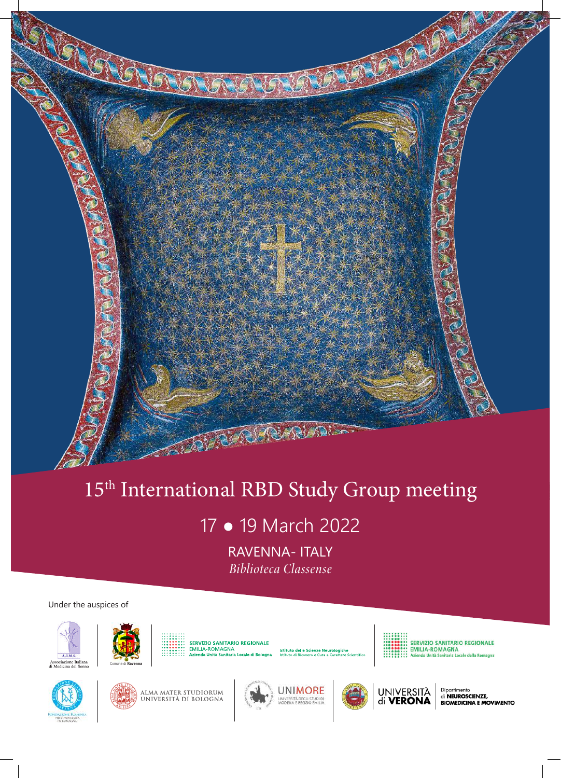

# 15<sup>th</sup> International RBD Study Group meeting

17 ● 19 March 2022

RAVENNA- ITALY *Biblioteca Classense*

#### Under the auspices of









SERVIZIO SANITARIO REGIONALE<br>EMILIA-ROMAGNA ia Locale della Romagna











Dipartimento<br>di **NEUROSCIENZE,**<br>**BIOMEDICINA E MOVIMENTO**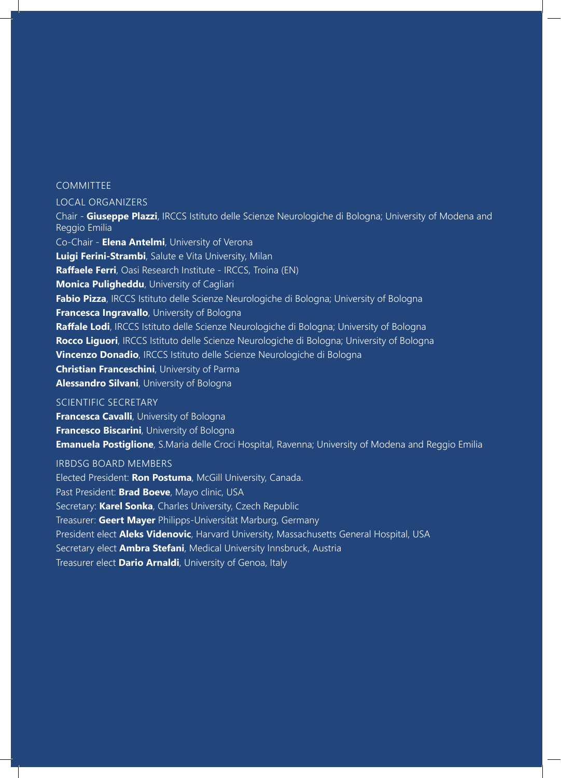#### **COMMITTEE**

#### LOCAL ORGANIZERS

Chair - **Giuseppe Plazzi**, IRCCS Istituto delle Scienze Neurologiche di Bologna; University of Modena and Reggio Emilia Co-Chair - **Elena Antelmi**, University of Verona **Luigi Ferini-Strambi**, Salute e Vita University, Milan **Raffaele Ferri**, Oasi Research Institute - IRCCS, Troina (EN) **Monica Puligheddu**, University of Cagliari **Fabio Pizza**, IRCCS Istituto delle Scienze Neurologiche di Bologna; University of Bologna **Francesca Ingravallo**, University of Bologna **Raffale Lodi**, IRCCS Istituto delle Scienze Neurologiche di Bologna; University of Bologna **Rocco Liguori**, IRCCS Istituto delle Scienze Neurologiche di Bologna; University of Bologna **Vincenzo Donadio**, IRCCS Istituto delle Scienze Neurologiche di Bologna **Christian Franceschini**, University of Parma **Alessandro Silvani**, University of Bologna

#### SCIENTIFIC SECRETARY

**Francesca Cavalli**, University of Bologna **Francesco Biscarini**, University of Bologna **Emanuela Postiglione**, S.Maria delle Croci Hospital, Ravenna; University of Modena and Reggio Emilia

#### IRBDSG BOARD MEMBERS

Elected President: **Ron Postuma**, McGill University, Canada. Past President: **Brad Boeve**, Mayo clinic, USA Secretary: **Karel Sonka**, Charles University, Czech Republic Treasurer: **Geert Mayer** Philipps-Universität Marburg, Germany President elect **Aleks Videnovic**, Harvard University, Massachusetts General Hospital, USA Secretary elect **Ambra Stefani**, Medical University Innsbruck, Austria Treasurer elect **Dario Arnaldi**, University of Genoa, Italy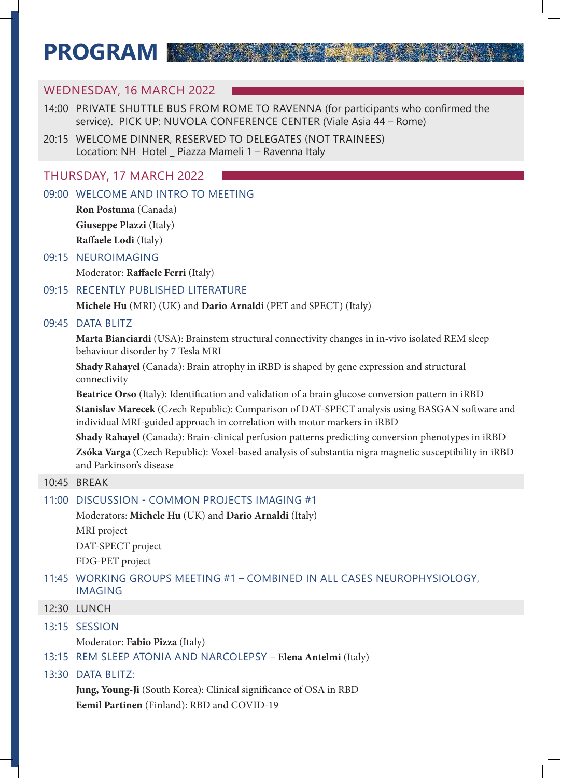# **PROGRAM**

## WEDNESDAY, 16 MARCH 2022 14:00 PRIVATE SHUTTLE BUS FROM ROME TO RAVENNA (for participants who confirmed the service). PICK UP: NUVOLA CONFERENCE CENTER (Viale Asia 44 – Rome) 20:15 WELCOME DINNER, RESERVED TO DELEGATES (NOT TRAINEES) Location: NH Hotel \_ Piazza Mameli 1 – Ravenna Italy THURSDAY, 17 MARCH 2022

### 09:00 WELCOME AND INTRO TO MEETING

**Ron Postuma** (Canada) **Giuseppe Plazzi** (Italy) **Raffaele Lodi** (Italy)

### 09:15 NEUROIMAGING

Moderator: **Raffaele Ferri** (Italy)

### 09:15 RECENTLY PUBLISHED LITERATURE

**Michele Hu** (MRI) (UK) and **Dario Arnaldi** (PET and SPECT) (Italy)

### 09:45 DATA BLITZ

**Marta Bianciardi** (USA): Brainstem structural connectivity changes in in-vivo isolated REM sleep behaviour disorder by 7 Tesla MRI

**Shady Rahayel** (Canada): Brain atrophy in iRBD is shaped by gene expression and structural connectivity

**Beatrice Orso** (Italy): Identification and validation of a brain glucose conversion pattern in iRBD **Stanislav Marecek** (Czech Republic): Comparison of DAT-SPECT analysis using BASGAN software and individual MRI-guided approach in correlation with motor markers in iRBD

**Shady Rahayel** (Canada): Brain-clinical perfusion patterns predicting conversion phenotypes in iRBD **Zsóka Varga** (Czech Republic): Voxel-based analysis of substantia nigra magnetic susceptibility in iRBD and Parkinson's disease

### 10:45 BREAK

### 11:00 DISCUSSION - COMMON PROJECTS IMAGING #1

Moderators: **Michele Hu** (UK) and **Dario Arnaldi** (Italy)

MRI project DAT-SPECT project FDG-PET project

### 11:45 WORKING GROUPS MEETING #1 – COMBINED IN ALL CASES NEUROPHYSIOLOGY, IMAGING

12:30 LUNCH

13:15 SESSION

Moderator: **Fabio Pizza** (Italy)

13:15 REM SLEEP ATONIA AND NARCOLEPSY – **Elena Antelmi** (Italy)

### 13:30 DATA BLITZ:

**Jung, Young-Ji** (South Korea): Clinical significance of OSA in RBD **Eemil Partinen** (Finland): RBD and COVID-19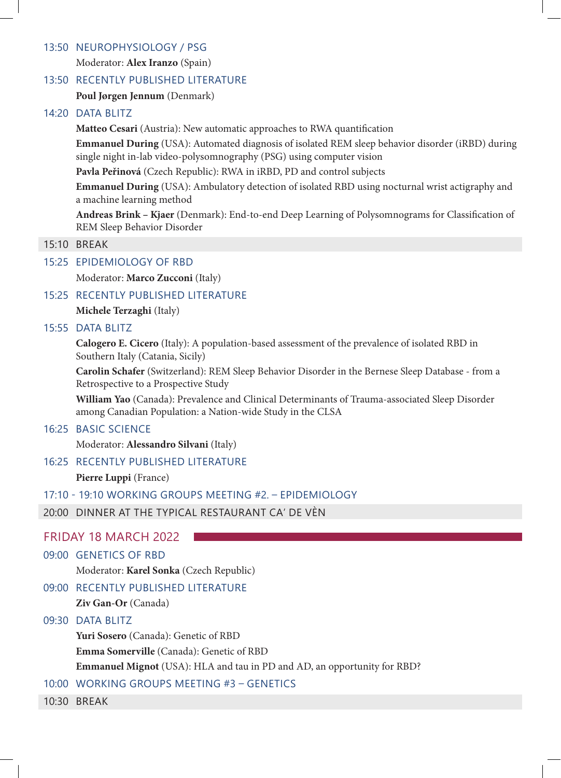### 13:50 NEUROPHYSIOLOGY / PSG

Moderator: **Alex Iranzo** (Spain)

### 13:50 RECENTLY PUBLISHED LITERATURE

**Poul Jørgen Jennum** (Denmark)

### 14:20 DATA BLITZ

**Matteo Cesari** (Austria): New automatic approaches to RWA quantification

**Emmanuel During** (USA): Automated diagnosis of isolated REM sleep behavior disorder (iRBD) during single night in-lab video-polysomnography (PSG) using computer vision

**Pavla Peřinová** (Czech Republic): RWA in iRBD, PD and control subjects

**Emmanuel During** (USA): Ambulatory detection of isolated RBD using nocturnal wrist actigraphy and a machine learning method

**Andreas Brink – Kjaer** (Denmark): End-to-end Deep Learning of Polysomnograms for Classification of REM Sleep Behavior Disorder

### 15:10 BREAK

### 15:25 EPIDEMIOLOGY OF RBD

Moderator: **Marco Zucconi** (Italy)

### 15:25 RECENTLY PUBLISHED LITERATURE

**Michele Terzaghi** (Italy)

#### 15:55 DATA BLITZ

**Calogero E. Cicero** (Italy): A population-based assessment of the prevalence of isolated RBD in Southern Italy (Catania, Sicily)

**Carolin Schafer** (Switzerland): REM Sleep Behavior Disorder in the Bernese Sleep Database - from a Retrospective to a Prospective Study

**William Yao** (Canada): Prevalence and Clinical Determinants of Trauma-associated Sleep Disorder among Canadian Population: a Nation-wide Study in the CLSA

### 16:25 BASIC SCIENCE

Moderator: **Alessandro Silvani** (Italy)

### 16:25 RECENTLY PUBLISHED LITERATURE

**Pierre Luppi** (France)

17:10 - 19:10 WORKING GROUPS MEETING #2. – EPIDEMIOLOGY

20:00 DINNER AT THE TYPICAL RESTAURANT CA' DE VÈN

### FRIDAY 18 MARCH 2022

### 09:00 GENETICS OF RBD

Moderator: **Karel Sonka** (Czech Republic)

### 09:00 RECENTLY PUBLISHED LITERATURE

**Ziv Gan-Or** (Canada)

### 09:30 DATA BLITZ

**Yuri Sosero** (Canada): Genetic of RBD

**Emma Somerville** (Canada): Genetic of RBD

**Emmanuel Mignot** (USA): HLA and tau in PD and AD, an opportunity for RBD?

### 10:00 WORKING GROUPS MEETING #3 – GENETICS

10:30 BREAK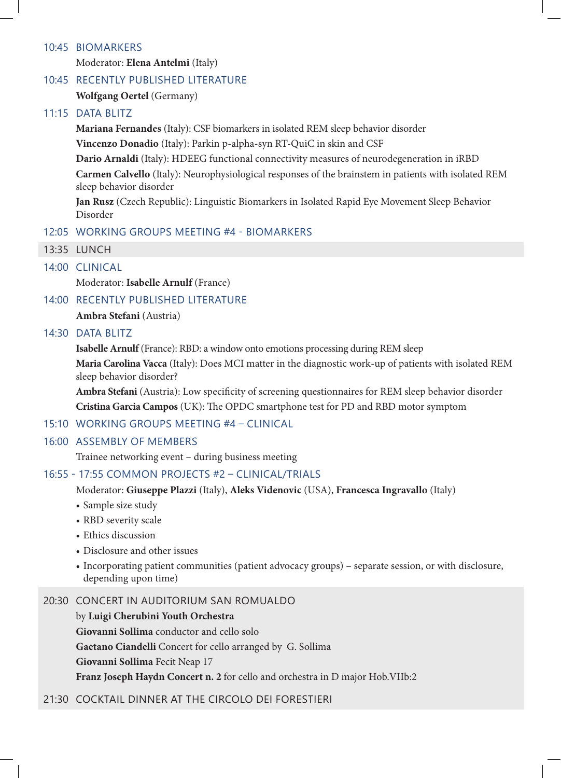### 10:45 BIOMARKERS

Moderator: **Elena Antelmi** (Italy)

### 10:45 RECENTLY PUBLISHED LITERATURE

**Wolfgang Oertel** (Germany)

### 11:15 DATA BLITZ

**Mariana Fernandes** (Italy): CSF biomarkers in isolated REM sleep behavior disorder

**Vincenzo Donadio** (Italy): Parkin p-alpha-syn RT-QuiC in skin and CSF

**Dario Arnaldi** (Italy): HDEEG functional connectivity measures of neurodegeneration in iRBD

**Carmen Calvello** (Italy): Neurophysiological responses of the brainstem in patients with isolated REM sleep behavior disorder

**Jan Rusz** (Czech Republic): Linguistic Biomarkers in Isolated Rapid Eye Movement Sleep Behavior Disorder

#### 12:05 WORKING GROUPS MEETING #4 - BIOMARKERS

13:35 LUNCH

### 14:00 CLINICAL

Moderator: **Isabelle Arnulf** (France)

14:00 RECENTLY PUBLISHED LITERATURE

**Ambra Stefani** (Austria)

#### 14:30 DATA BLITZ

**Isabelle Arnulf** (France): RBD: a window onto emotions processing during REM sleep

**Maria Carolina Vacca** (Italy): Does MCI matter in the diagnostic work-up of patients with isolated REM sleep behavior disorder?

**Ambra Stefani** (Austria): Low specificity of screening questionnaires for REM sleep behavior disorder **Cristina Garcia Campos** (UK): The OPDC smartphone test for PD and RBD motor symptom

#### 15:10 WORKING GROUPS MEETING #4 – CLINICAL

#### 16:00 ASSEMBLY OF MEMBERS

Trainee networking event – during business meeting

### 16:55 - 17:55 COMMON PROJECTS #2 – CLINICAL/TRIALS

Moderator: **Giuseppe Plazzi** (Italy), **Aleks Videnovic** (USA), **Francesca Ingravallo** (Italy)

- Sample size study
- RBD severity scale
- Ethics discussion
- Disclosure and other issues
- Incorporating patient communities (patient advocacy groups) separate session, or with disclosure, depending upon time)

### 20:30 CONCERT IN AUDITORIUM SAN ROMUALDO

by **Luigi Cherubini Youth Orchestra**

**Giovanni Sollima** conductor and cello solo

**Gaetano Ciandelli** Concert for cello arranged by G. Sollima

**Giovanni Sollima** Fecit Neap 17

**Franz Joseph Haydn Concert n. 2** for cello and orchestra in D major Hob.VIIb:2

### 21:30 COCKTAIL DINNER AT THE CIRCOLO DEI FORESTIERI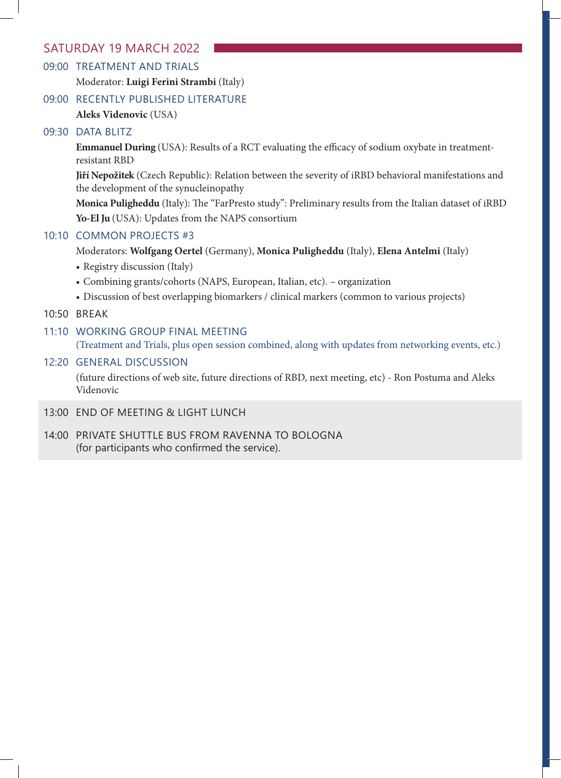### SATURDAY 19 MARCH 2022

### 09:00 TREATMENT AND TRIALS

Moderator: **Luigi Ferini Strambi** (Italy)

### 09:00 RECENTLY PUBLISHED LITERATURE

**Aleks Videnovic** (USA)

### 09:30 DATA BLITZ

**Emmanuel During** (USA): Results of a RCT evaluating the efficacy of sodium oxybate in treatmentresistant RBD

**Jiří Nepožitek** (Czech Republic): Relation between the severity of iRBD behavioral manifestations and the development of the synucleinopathy

**Monica Puligheddu** (Italy): The "FarPresto study": Preliminary results from the Italian dataset of iRBD **Yo-El Ju** (USA): Updates from the NAPS consortium

### 10:10 COMMON PROJECTS #3

Moderators: **Wolfgang Oertel** (Germany), **Monica Puligheddu** (Italy), **Elena Antelmi** (Italy)

- Registry discussion (Italy)
- Combining grants/cohorts (NAPS, European, Italian, etc). organization
- Discussion of best overlapping biomarkers / clinical markers (common to various projects)

### 10:50 BREAK

11:10 WORKING GROUP FINAL MEETING (Treatment and Trials, plus open session combined, along with updates from networking events, etc.)

### 12:20 GENERAL DISCUSSION

(future directions of web site, future directions of RBD, next meeting, etc) - Ron Postuma and Aleks Videnovic

### 13:00 END OF MEETING & LIGHT LUNCH

14:00 PRIVATE SHUTTLE BUS FROM RAVENNA TO BOLOGNA (for participants who confirmed the service).